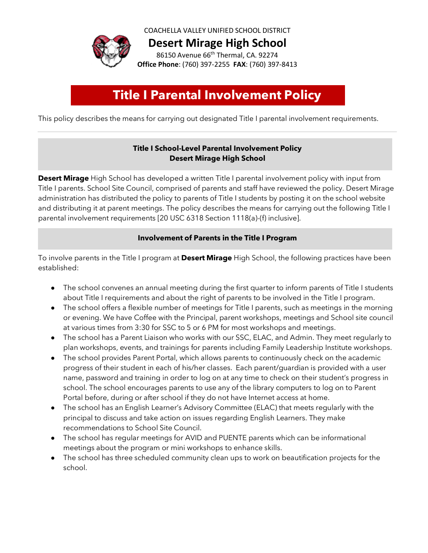COACHELLA VALLEY UNIFIED SCHOOL DISTRICT



**Desert Mirage High School** 86150 Avenue 66<sup>th</sup> Thermal, CA. 92274 **Office Phone**: (760) 397-2255 **FAX**: (760) 397-8413

## **Title I Parental Involvement Policy**

This policy describes the means for carrying out designated Title I parental involvement requirements.

## **Title I School-Level Parental Involvement Policy Desert Mirage High School**

**Desert Mirage** High School has developed a written Title I parental involvement policy with input from Title I parents. School Site Council, comprised of parents and staff have reviewed the policy. Desert Mirage administration has distributed the policy to parents of Title I students by posting it on the school website and distributing it at parent meetings. The policy describes the means for carrying out the following Title I parental involvement requirements [20 USC 6318 Section 1118(a)-(f) inclusive].

## **Involvement of Parents in the Title I Program**

To involve parents in the Title I program at **Desert Mirage** High School, the following practices have been established:

- The school convenes an annual meeting during the first quarter to inform parents of Title I students about Title I requirements and about the right of parents to be involved in the Title I program.
- The school offers a flexible number of meetings for Title I parents, such as meetings in the morning or evening. We have Coffee with the Principal, parent workshops, meetings and School site council at various times from 3:30 for SSC to 5 or 6 PM for most workshops and meetings.
- The school has a Parent Liaison who works with our SSC, ELAC, and Admin. They meet regularly to plan workshops, events, and trainings for parents including Family Leadership Institute workshops.
- The school provides Parent Portal, which allows parents to continuously check on the academic progress of their student in each of his/her classes. Each parent/guardian is provided with a user name, password and training in order to log on at any time to check on their student's progress in school. The school encourages parents to use any of the library computers to log on to Parent Portal before, during or after school if they do not have Internet access at home.
- The school has an English Learner's Advisory Committee (ELAC) that meets regularly with the principal to discuss and take action on issues regarding English Learners. They make recommendations to School Site Council.
- The school has regular meetings for AVID and PUENTE parents which can be informational meetings about the program or mini workshops to enhance skills.
- The school has three scheduled community clean ups to work on beautification projects for the school.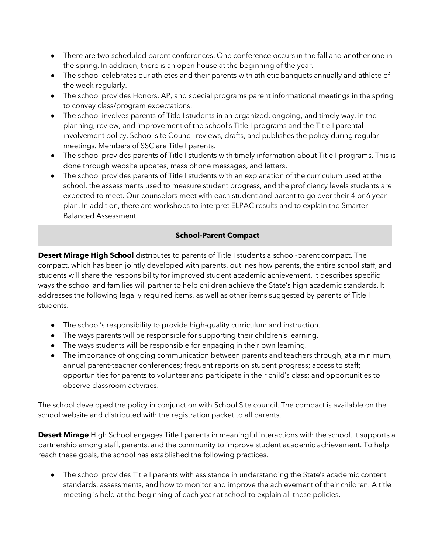- There are two scheduled parent conferences. One conference occurs in the fall and another one in the spring. In addition, there is an open house at the beginning of the year.
- The school celebrates our athletes and their parents with athletic banquets annually and athlete of the week regularly.
- The school provides Honors, AP, and special programs parent informational meetings in the spring to convey class/program expectations.
- The school involves parents of Title I students in an organized, ongoing, and timely way, in the planning, review, and improvement of the school's Title I programs and the Title I parental involvement policy. School site Council reviews, drafts, and publishes the policy during regular meetings. Members of SSC are Title I parents.
- The school provides parents of Title I students with timely information about Title I programs. This is done through website updates, mass phone messages, and letters.
- The school provides parents of Title I students with an explanation of the curriculum used at the school, the assessments used to measure student progress, and the proficiency levels students are expected to meet. Our counselors meet with each student and parent to go over their 4 or 6 year plan. In addition, there are workshops to interpret ELPAC results and to explain the Smarter Balanced Assessment.

## **School-Parent Compact**

**Desert Mirage High School** distributes to parents of Title I students a school-parent compact. The compact, which has been jointly developed with parents, outlines how parents, the entire school staff, and students will share the responsibility for improved student academic achievement. It describes specific ways the school and families will partner to help children achieve the State's high academic standards. It addresses the following legally required items, as well as other items suggested by parents of Title I students.

- The school's responsibility to provide high-quality curriculum and instruction.
- The ways parents will be responsible for supporting their children's learning.
- The ways students will be responsible for engaging in their own learning.
- The importance of ongoing communication between parents and teachers through, at a minimum, annual parent-teacher conferences; frequent reports on student progress; access to staff; opportunities for parents to volunteer and participate in their child's class; and opportunities to observe classroom activities.

The school developed the policy in conjunction with School Site council. The compact is available on the school website and distributed with the registration packet to all parents.

**Desert Mirage** High School engages Title I parents in meaningful interactions with the school. It supports a partnership among staff, parents, and the community to improve student academic achievement. To help reach these goals, the school has established the following practices.

● The school provides Title I parents with assistance in understanding the State's academic content standards, assessments, and how to monitor and improve the achievement of their children. A title I meeting is held at the beginning of each year at school to explain all these policies.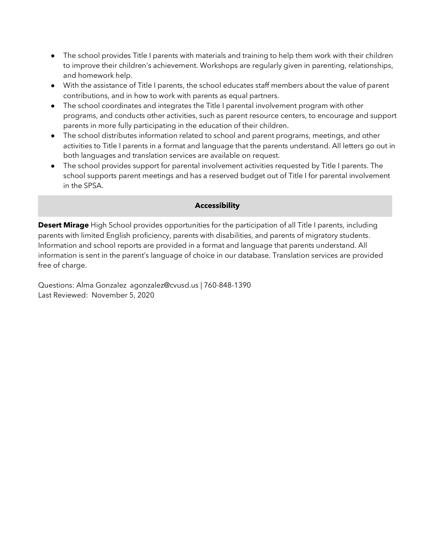- The school provides Title I parents with materials and training to help them work with their children to improve their children's achievement. Workshops are regularly given in parenting, relationships, and homework help.
- With the assistance of Title I parents, the school educates staff members about the value of parent contributions, and in how to work with parents as equal partners.
- The school coordinates and integrates the Title I parental involvement program with other programs, and conducts other activities, such as parent resource centers, to encourage and support parents in more fully participating in the education of their children.
- The school distributes information related to school and parent programs, meetings, and other activities to Title I parents in a format and language that the parents understand. All letters go out in both languages and translation services are available on request.
- The school provides support for parental involvement activities requested by Title I parents. The school supports parent meetings and has a reserved budget out of Title I for parental involvement in the SPSA.

## **Accessibility**

**Desert Mirage** High School provides opportunities for the participation of all Title I parents, including parents with limited English proficiency, parents with disabilities, and parents of migratory students. Information and school reports are provided in a format and language that parents understand. All information is sent in the parent's language of choice in our database. Translation services are provided free of charge.

Questions: Alma Gonzalez agonzalez@cvusd.us | 760-848-1390 Last Reviewed: November 5, 2020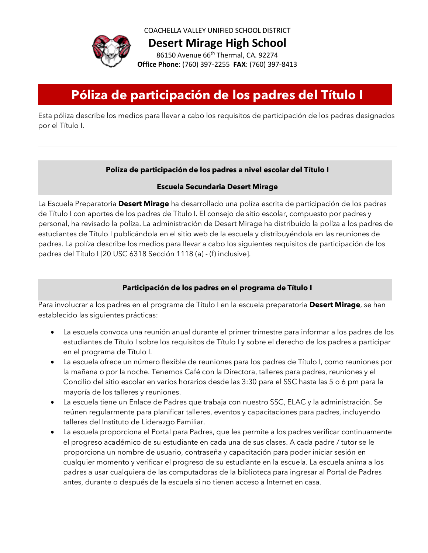COACHELLA VALLEY UNIFIED SCHOOL DISTRICT



**Desert Mirage High School** 86150 Avenue 66<sup>th</sup> Thermal, CA. 92274 **Office Phone**: (760) 397-2255 **FAX**: (760) 397-8413

# **Póliza de participación de los padres del Título I**

Esta póliza describe los medios para llevar a cabo los requisitos de participación de los padres designados por el Título I.

#### **Políza de participación de los padres a nivel escolar del Título I**

#### **Escuela Secundaria Desert Mirage**

La Escuela Preparatoria **Desert Mirage** ha desarrollado una políza escrita de participación de los padres de Título I con aportes de los padres de Título I. El consejo de sitio escolar, compuesto por padres y personal, ha revisado la políza. La administración de Desert Mirage ha distribuido la políza a los padres de estudiantes de Título I publicándola en el sitio web de la escuela y distribuyéndola en las reuniones de padres. La políza describe los medios para llevar a cabo los siguientes requisitos de participación de los padres del Título I [20 USC 6318 Sección 1118 (a) - (f) inclusive].

## **Participación de los padres en el programa de Título I**

Para involucrar a los padres en el programa de Título I en la escuela preparatoria **Desert Mirage**, se han establecido las siguientes prácticas:

- La escuela convoca una reunión anual durante el primer trimestre para informar a los padres de los estudiantes de Título I sobre los requisitos de Título I y sobre el derecho de los padres a participar en el programa de Título I.
- La escuela ofrece un número flexible de reuniones para los padres de Título I, como reuniones por la mañana o por la noche. Tenemos Café con la Directora, talleres para padres, reuniones y el Concilio del sitio escolar en varios horarios desde las 3:30 para el SSC hasta las 5 o 6 pm para la mayoría de los talleres y reuniones.
- La escuela tiene un Enlace de Padres que trabaja con nuestro SSC, ELAC y la administración. Se reúnen regularmente para planificar talleres, eventos y capacitaciones para padres, incluyendo talleres del Instituto de Liderazgo Familiar.
- La escuela proporciona el Portal para Padres, que les permite a los padres verificar continuamente el progreso académico de su estudiante en cada una de sus clases. A cada padre / tutor se le proporciona un nombre de usuario, contraseña y capacitación para poder iniciar sesión en cualquier momento y verificar el progreso de su estudiante en la escuela. La escuela anima a los padres a usar cualquiera de las computadoras de la biblioteca para ingresar al Portal de Padres antes, durante o después de la escuela si no tienen acceso a Internet en casa.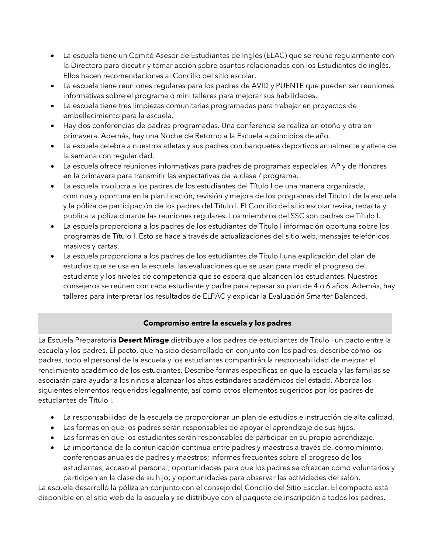- La escuela tiene un Comité Asesor de Estudiantes de Inglés (ELAC) que se reúne regularmente con la Directora para discutir y tomar acción sobre asuntos relacionados con los Estudiantes de inglés. Ellos hacen recomendaciones al Concilio del sitio escolar.
- La escuela tiene reuniones regulares para los padres de AVID y PUENTE que pueden ser reuniones informativas sobre el programa o mini talleres para mejorar sus habilidades.
- La escuela tiene tres limpiezas comunitarias programadas para trabajar en proyectos de embellecimiento para la escuela.
- Hay dos conferencias de padres programadas. Una conferencia se realiza en otoño y otra en primavera. Además, hay una Noche de Retorno a la Escuela a principios de año.
- La escuela celebra a nuestros atletas y sus padres con banquetes deportivos anualmente y atleta de la semana con regularidad.
- La escuela ofrece reuniones informativas para padres de programas especiales, AP y de Honores en la primavera para transmitir las expectativas de la clase / programa.
- La escuela involucra a los padres de los estudiantes del Título I de una manera organizada, continua y oportuna en la planificación, revisión y mejora de los programas del Título I de la escuela y la póliza de participación de los padres del Título I. El Concilio del sitio escolar revisa, redacta y publica la póliza durante las reuniones regulares. Los miembros del SSC son padres de Título I.
- La escuela proporciona a los padres de los estudiantes de Título I información oportuna sobre los programas de Título I. Esto se hace a través de actualizaciones del sitio web, mensajes telefónicos masivos y cartas.
- La escuela proporciona a los padres de los estudiantes de Título I una explicación del plan de estudios que se usa en la escuela, las evaluaciones que se usan para medir el progreso del estudiante y los niveles de competencia que se espera que alcancen los estudiantes. Nuestros consejeros se reúnen con cada estudiante y padre para repasar su plan de 4 o 6 años. Además, hay talleres para interpretar los resultados de ELPAC y explicar la Evaluación Smarter Balanced.

#### **Compromiso entre la escuela y los padres**

La Escuela Preparatoria **Desert Mirage** distribuye a los padres de estudiantes de Título I un pacto entre la escuela y los padres. El pacto, que ha sido desarrollado en conjunto con los padres, describe cómo los padres, todo el personal de la escuela y los estudiantes compartirán la responsabilidad de mejorar el rendimiento académico de los estudiantes. Describe formas específicas en que la escuela y las familias se asociarán para ayudar a los niños a alcanzar los altos estándares académicos del estado. Aborda los siguientes elementos requeridos legalmente, así como otros elementos sugeridos por los padres de estudiantes de Título I.

- La responsabilidad de la escuela de proporcionar un plan de estudios e instrucción de alta calidad.
- Las formas en que los padres serán responsables de apoyar el aprendizaje de sus hijos.
- Las formas en que los estudiantes serán responsables de participar en su propio aprendizaje.
- La importancia de la comunicación continua entre padres y maestros a través de, como mínimo, conferencias anuales de padres y maestros; informes frecuentes sobre el progreso de los estudiantes; acceso al personal; oportunidades para que los padres se ofrezcan como voluntarios y participen en la clase de su hijo; y oportunidades para observar las actividades del salón.

La escuela desarrolló la póliza en conjunto con el consejo del Concilio del Sitio Escolar. El compacto está disponible en el sitio web de la escuela y se distribuye con el paquete de inscripción a todos los padres.